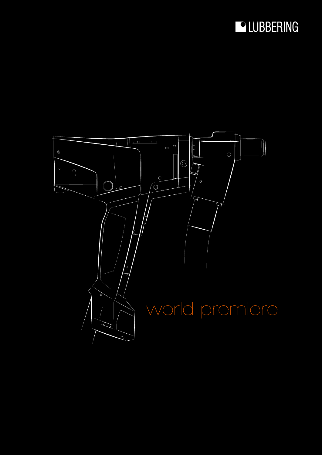## LUBBERING

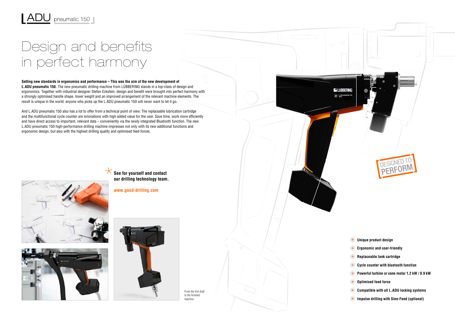From the first draft to the finished machine.

## Design and benefits in perfect harmony

## **Setting new standards in ergonomics and performance – This was the aim of the new development of**

**L.ADU pneumatic 150.** The new pneumatic drilling machine from LÜBBERING stands in a top-class of design and ergonomics. Together with industrial designer Stefan Eckstein, design and benefit were brought into perfect harmony with a strongly optimised handle shape, lower weight and an improved arrangement of the relevant machine elements. The result is unique in the world: anyone who picks up the L.ADU pneumatic 150 will never want to let it go.

And L.ADU pneumatic 150 also has a lot to offer from a technical point of view: The replaceable lubrication cartridge and the multifunctional cycle counter are innovations with high added value for the user. Save time, work more efficiently and have direct access to important, relevant data – conveniently via the newly integrated Bluetooth function. The new L.ADU pneumatic 150 high-performance drilling machine impresses not only with its new additional functions and ergonomic design, but also with the highest drilling quality and optimised feed forces.



- 
- 
- 
- 
- 
- **Optimised feed force**
- **Compatible with all L.ADU locking systems**
- **Impulse drilling with Sine-Feed (optional)**







**our drilling technology team.**

**www.good-drilling.com**